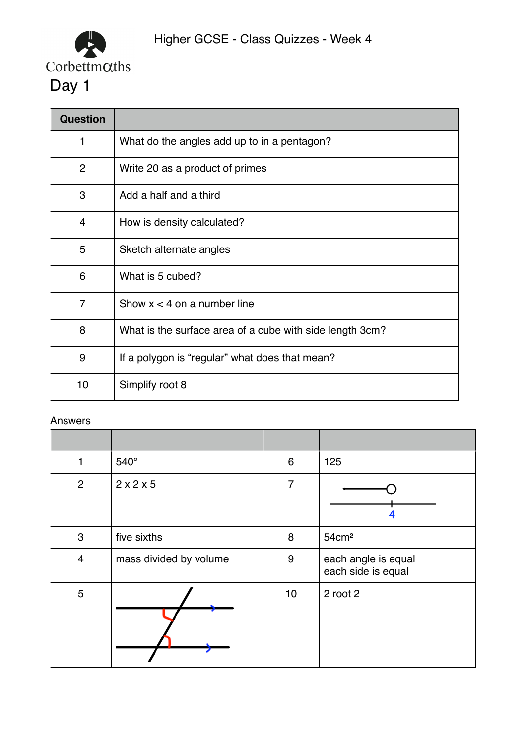

| <b>Question</b> |                                                          |
|-----------------|----------------------------------------------------------|
| 1               | What do the angles add up to in a pentagon?              |
| $\overline{2}$  | Write 20 as a product of primes                          |
| 3               | Add a half and a third                                   |
| 4               | How is density calculated?                               |
| 5               | Sketch alternate angles                                  |
| 6               | What is 5 cubed?                                         |
| 7               | Show $x < 4$ on a number line                            |
| 8               | What is the surface area of a cube with side length 3cm? |
| 9               | If a polygon is "regular" what does that mean?           |
| 10              | Simplify root 8                                          |

| 1              | 540°                   | 6              | 125                                       |
|----------------|------------------------|----------------|-------------------------------------------|
| $\overline{2}$ | 2x2x5                  | $\overline{7}$ |                                           |
| 3              | five sixths            | 8              | 54cm <sup>2</sup>                         |
| $\overline{4}$ | mass divided by volume | $9\,$          | each angle is equal<br>each side is equal |
| 5              |                        | 10             | 2 root 2                                  |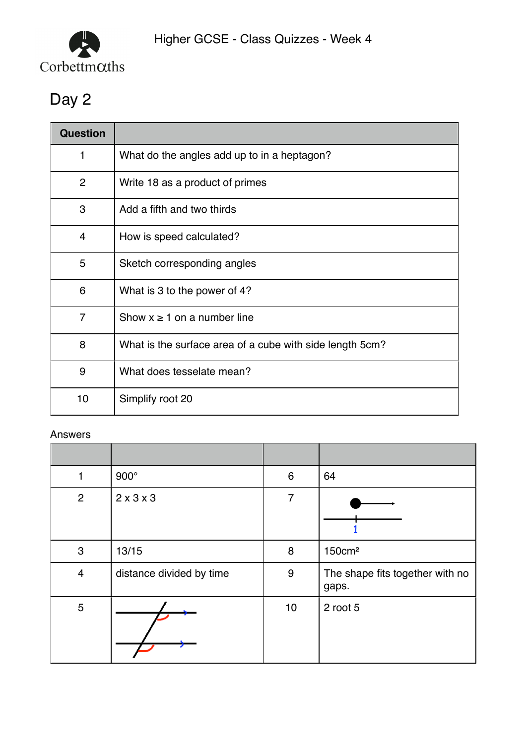

| <b>Question</b> |                                                          |
|-----------------|----------------------------------------------------------|
| 1               | What do the angles add up to in a heptagon?              |
| $\overline{2}$  | Write 18 as a product of primes                          |
| 3               | Add a fifth and two thirds                               |
| $\overline{4}$  | How is speed calculated?                                 |
| 5               | Sketch corresponding angles                              |
| 6               | What is 3 to the power of 4?                             |
| $\overline{7}$  | Show $x \ge 1$ on a number line                          |
| 8               | What is the surface area of a cube with side length 5cm? |
| 9               | What does tesselate mean?                                |
| 10              | Simplify root 20                                         |

|                | $900^\circ$              | $6\phantom{1}6$ | 64                                       |
|----------------|--------------------------|-----------------|------------------------------------------|
| $\overline{2}$ | $2 \times 3 \times 3$    | 7               |                                          |
| 3              | 13/15                    | 8               | 150cm <sup>2</sup>                       |
| $\overline{4}$ | distance divided by time | $9\,$           | The shape fits together with no<br>gaps. |
| $\overline{5}$ |                          | 10              | 2 root 5                                 |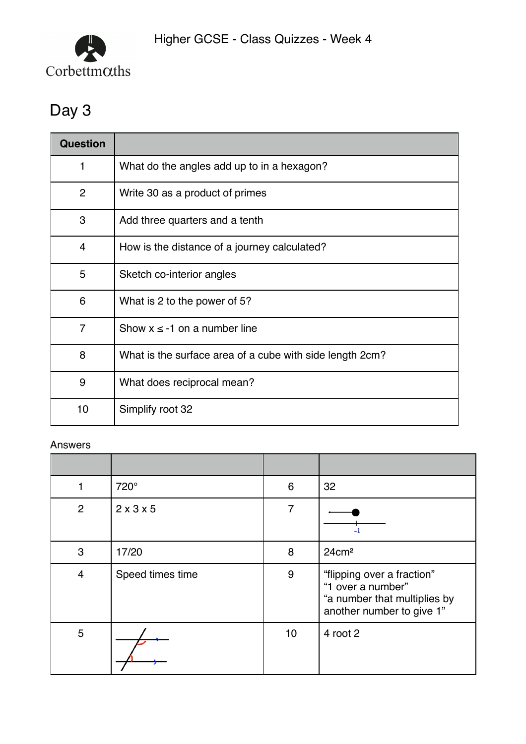

| <b>Question</b> |                                                          |
|-----------------|----------------------------------------------------------|
| 1               | What do the angles add up to in a hexagon?               |
| $\overline{2}$  | Write 30 as a product of primes                          |
| 3               | Add three quarters and a tenth                           |
| $\overline{4}$  | How is the distance of a journey calculated?             |
| 5               | Sketch co-interior angles                                |
| 6               | What is 2 to the power of 5?                             |
| $\overline{7}$  | Show $x \le -1$ on a number line                         |
| 8               | What is the surface area of a cube with side length 2cm? |
| 9               | What does reciprocal mean?                               |
| 10              | Simplify root 32                                         |

| 1              | 720°             | 6  | 32                                                                                                           |
|----------------|------------------|----|--------------------------------------------------------------------------------------------------------------|
| 2              | 2x3x5            | 7  |                                                                                                              |
| 3              | 17/20            | 8  | $24 \text{cm}^2$                                                                                             |
| $\overline{4}$ | Speed times time | 9  | "flipping over a fraction"<br>"1 over a number"<br>"a number that multiplies by<br>another number to give 1" |
| 5              |                  | 10 | 4 root 2                                                                                                     |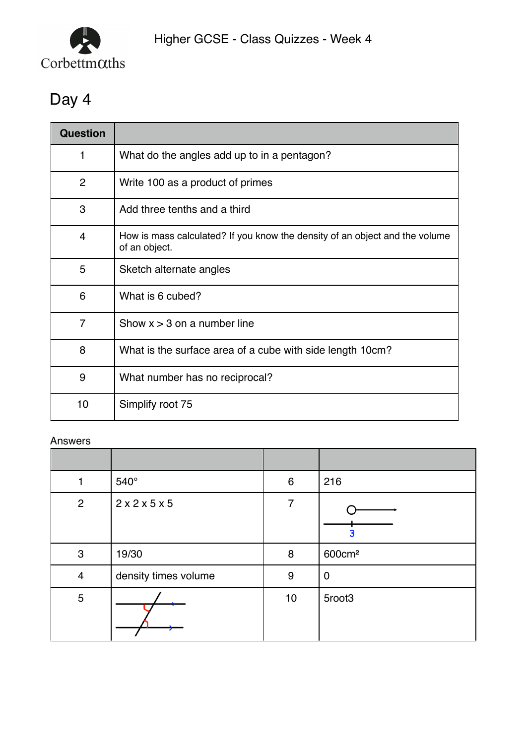

| Question       |                                                                                              |
|----------------|----------------------------------------------------------------------------------------------|
| 1              | What do the angles add up to in a pentagon?                                                  |
| $\overline{2}$ | Write 100 as a product of primes                                                             |
| 3              | Add three tenths and a third                                                                 |
| $\overline{4}$ | How is mass calculated? If you know the density of an object and the volume<br>of an object. |
| 5              | Sketch alternate angles                                                                      |
| 6              | What is 6 cubed?                                                                             |
| $\overline{7}$ | Show $x > 3$ on a number line                                                                |
| 8              | What is the surface area of a cube with side length 10cm?                                    |
| 9              | What number has no reciprocal?                                                               |
| 10             | Simplify root 75                                                                             |

| 1              | 540°                 | $6\phantom{1}6$  | 216                |
|----------------|----------------------|------------------|--------------------|
| $\overline{2}$ | 2x2x5x5              | 7                |                    |
| 3              | 19/30                | 8                | 600cm <sup>2</sup> |
| $\overline{4}$ | density times volume | $\boldsymbol{9}$ | $\boldsymbol{0}$   |
| $\overline{5}$ |                      | 10               | 5root3             |